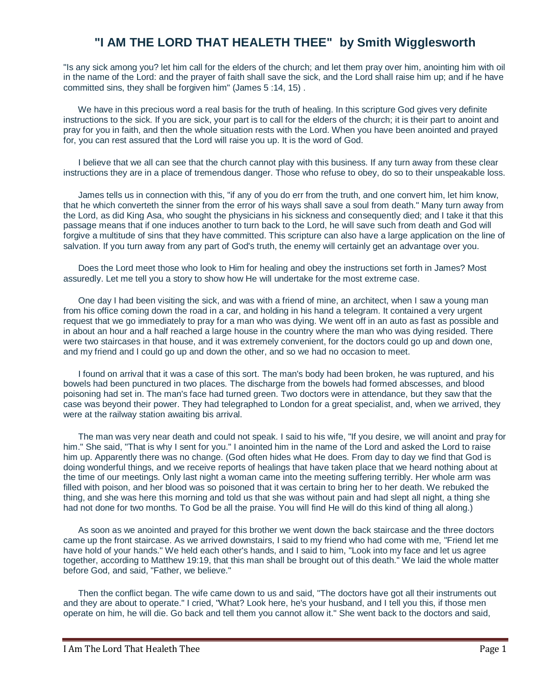## **"I AM THE LORD THAT HEALETH THEE" by Smith Wigglesworth**

"Is any sick among you? let him call for the elders of the church; and let them pray over him, anointing him with oil in the name of the Lord: and the prayer of faith shall save the sick, and the Lord shall raise him up; and if he have committed sins, they shall be forgiven him" (James 5 :14, 15) .

We have in this precious word a real basis for the truth of healing. In this scripture God gives very definite instructions to the sick. If you are sick, your part is to call for the elders of the church; it is their part to anoint and pray for you in faith, and then the whole situation rests with the Lord. When you have been anointed and prayed for, you can rest assured that the Lord will raise you up. It is the word of God.

 I believe that we all can see that the church cannot play with this business. If any turn away from these clear instructions they are in a place of tremendous danger. Those who refuse to obey, do so to their unspeakable loss.

 James tells us in connection with this, "if any of you do err from the truth, and one convert him, let him know, that he which converteth the sinner from the error of his ways shall save a soul from death." Many turn away from the Lord, as did King Asa, who sought the physicians in his sickness and consequently died; and I take it that this passage means that if one induces another to turn back to the Lord, he will save such from death and God will forgive a multitude of sins that they have committed. This scripture can also have a large application on the line of salvation. If you turn away from any part of God's truth, the enemy will certainly get an advantage over you.

 Does the Lord meet those who look to Him for healing and obey the instructions set forth in James? Most assuredly. Let me tell you a story to show how He will undertake for the most extreme case.

 One day I had been visiting the sick, and was with a friend of mine, an architect, when I saw a young man from his office coming down the road in a car, and holding in his hand a telegram. It contained a very urgent request that we go immediately to pray for a man who was dying. We went off in an auto as fast as possible and in about an hour and a half reached a large house in the country where the man who was dying resided. There were two staircases in that house, and it was extremely convenient, for the doctors could go up and down one, and my friend and I could go up and down the other, and so we had no occasion to meet.

 I found on arrival that it was a case of this sort. The man's body had been broken, he was ruptured, and his bowels had been punctured in two places. The discharge from the bowels had formed abscesses, and blood poisoning had set in. The man's face had turned green. Two doctors were in attendance, but they saw that the case was beyond their power. They had telegraphed to London for a great specialist, and, when we arrived, they were at the railway station awaiting bis arrival.

 The man was very near death and could not speak. I said to his wife, "If you desire, we will anoint and pray for him." She said, "That is why I sent for you." I anointed him in the name of the Lord and asked the Lord to raise him up. Apparently there was no change. (God often hides what He does. From day to day we find that God is doing wonderful things, and we receive reports of healings that have taken place that we heard nothing about at the time of our meetings. Only last night a woman came into the meeting suffering terribly. Her whole arm was filled with poison, and her blood was so poisoned that it was certain to bring her to her death. We rebuked the thing, and she was here this morning and told us that she was without pain and had slept all night, a thing she had not done for two months. To God be all the praise. You will find He will do this kind of thing all along.)

 As soon as we anointed and prayed for this brother we went down the back staircase and the three doctors came up the front staircase. As we arrived downstairs, I said to my friend who had come with me, "Friend let me have hold of your hands." We held each other's hands, and I said to him, "Look into my face and let us agree together, according to Matthew 19:19, that this man shall be brought out of this death." We laid the whole matter before God, and said, "Father, we believe."

 Then the conflict began. The wife came down to us and said, "The doctors have got all their instruments out and they are about to operate." I cried, "What? Look here, he's your husband, and I tell you this, if those men operate on him, he will die. Go back and tell them you cannot allow it." She went back to the doctors and said,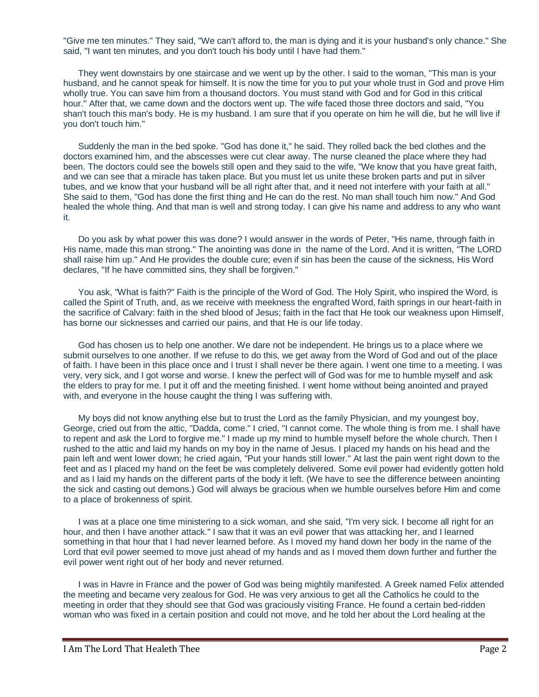"Give me ten minutes." They said, "We can't afford to, the man is dying and it is your husband's only chance." She said, "I want ten minutes, and you don't touch his body until I have had them."

 They went downstairs by one staircase and we went up by the other. I said to the woman, "This man is your husband, and he cannot speak for himself. It is now the time for you to put your whole trust in God and prove Him wholly true. You can save him from a thousand doctors. You must stand with God and for God in this critical hour." After that, we came down and the doctors went up. The wife faced those three doctors and said, "You shan't touch this man's body. He is my husband. I am sure that if you operate on him he will die, but he will live if you don't touch him."

 Suddenly the man in the bed spoke. "God has done it," he said. They rolled back the bed clothes and the doctors examined him, and the abscesses were cut clear away. The nurse cleaned the place where they had been. The doctors could see the bowels still open and they said to the wife, "We know that you have great faith, and we can see that a miracle has taken place. But you must let us unite these broken parts and put in silver tubes, and we know that your husband will be all right after that, and it need not interfere with your faith at all." She said to them, "God has done the first thing and He can do the rest. No man shall touch him now." And God healed the whole thing. And that man is well and strong today. I can give his name and address to any who want it.

 Do you ask by what power this was done? I would answer in the words of Peter, "His name, through faith in His name, made this man strong." The anointing was done in the name of the Lord. And it is written, "The LORD shall raise him up." And He provides the double cure; even if sin has been the cause of the sickness, His Word declares, "If he have committed sins, they shall be forgiven."

 You ask, "What is faith?" Faith is the principle of the Word of God. The Holy Spirit, who inspired the Word, is called the Spirit of Truth, and, as we receive with meekness the engrafted Word, faith springs in our heart-faith in the sacrifice of Calvary: faith in the shed blood of Jesus; faith in the fact that He took our weakness upon Himself, has borne our sicknesses and carried our pains, and that He is our life today.

 God has chosen us to help one another. We dare not be independent. He brings us to a place where we submit ourselves to one another. If we refuse to do this, we get away from the Word of God and out of the place of faith. I have been in this place once and I trust I shall never be there again. I went one time to a meeting. I was very, very sick, and I got worse and worse. I knew the perfect will of God was for me to humble myself and ask the elders to pray for me. I put it off and the meeting finished. I went home without being anointed and prayed with, and everyone in the house caught the thing I was suffering with.

 My boys did not know anything else but to trust the Lord as the family Physician, and my youngest boy, George, cried out from the attic, "Dadda, come." I cried, "I cannot come. The whole thing is from me. I shall have to repent and ask the Lord to forgive me." I made up my mind to humble myself before the whole church. Then I rushed to the attic and laid my hands on my boy in the name of Jesus. I placed my hands on his head and the pain left and went lower down; he cried again, "Put your hands still lower." At last the pain went right down to the feet and as I placed my hand on the feet be was completely delivered. Some evil power had evidently gotten hold and as I laid my hands on the different parts of the body it left. (We have to see the difference between anointing the sick and casting out demons.) God will always be gracious when we humble ourselves before Him and come to a place of brokenness of spirit.

 I was at a place one time ministering to a sick woman, and she said, "I'm very sick. I become all right for an hour, and then I have another attack." I saw that it was an evil power that was attacking her, and I learned something in that hour that I had never learned before. As I moved my hand down her body in the name of the Lord that evil power seemed to move just ahead of my hands and as I moved them down further and further the evil power went right out of her body and never returned.

 I was in Havre in France and the power of God was being mightily manifested. A Greek named Felix attended the meeting and became very zealous for God. He was very anxious to get all the Catholics he could to the meeting in order that they should see that God was graciously visiting France. He found a certain bed-ridden woman who was fixed in a certain position and could not move, and he told her about the Lord healing at the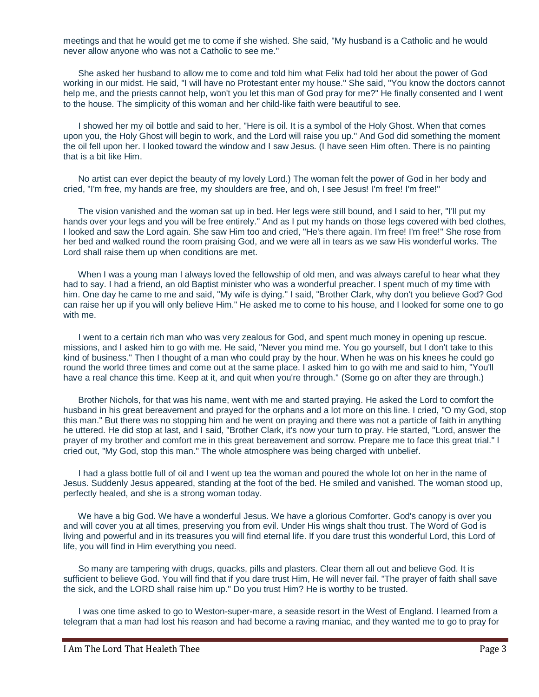meetings and that he would get me to come if she wished. She said, "My husband is a Catholic and he would never allow anyone who was not a Catholic to see me."

 She asked her husband to allow me to come and told him what Felix had told her about the power of God working in our midst. He said, "I will have no Protestant enter my house." She said, "You know the doctors cannot help me, and the priests cannot help, won't you let this man of God pray for me?" He finally consented and I went to the house. The simplicity of this woman and her child-like faith were beautiful to see.

 I showed her my oil bottle and said to her, "Here is oil. It is a symbol of the Holy Ghost. When that comes upon you, the Holy Ghost will begin to work, and the Lord will raise you up." And God did something the moment the oil fell upon her. I looked toward the window and I saw Jesus. (I have seen Him often. There is no painting that is a bit like Him.

 No artist can ever depict the beauty of my lovely Lord.) The woman felt the power of God in her body and cried, "I'm free, my hands are free, my shoulders are free, and oh, I see Jesus! I'm free! I'm free!"

 The vision vanished and the woman sat up in bed. Her legs were still bound, and I said to her, "I'll put my hands over your legs and you will be free entirely." And as I put my hands on those legs covered with bed clothes, I looked and saw the Lord again. She saw Him too and cried, "He's there again. I'm free! I'm free!" She rose from her bed and walked round the room praising God, and we were all in tears as we saw His wonderful works. The Lord shall raise them up when conditions are met.

 When I was a young man I always loved the fellowship of old men, and was always careful to hear what they had to say. I had a friend, an old Baptist minister who was a wonderful preacher. I spent much of my time with him. One day he came to me and said, "My wife is dying." I said, "Brother Clark, why don't you believe God? God can raise her up if you will only believe Him." He asked me to come to his house, and I looked for some one to go with me.

 I went to a certain rich man who was very zealous for God, and spent much money in opening up rescue. missions, and I asked him to go with me. He said, "Never you mind me. You go yourself, but I don't take to this kind of business." Then I thought of a man who could pray by the hour. When he was on his knees he could go round the world three times and come out at the same place. I asked him to go with me and said to him, "You'll have a real chance this time. Keep at it, and quit when you're through." (Some go on after they are through.)

 Brother Nichols, for that was his name, went with me and started praying. He asked the Lord to comfort the husband in his great bereavement and prayed for the orphans and a lot more on this line. I cried, "O my God, stop this man." But there was no stopping him and he went on praying and there was not a particle of faith in anything he uttered. He did stop at last, and I said, "Brother Clark, it's now your turn to pray. He started, "Lord, answer the prayer of my brother and comfort me in this great bereavement and sorrow. Prepare me to face this great trial." I cried out, "My God, stop this man." The whole atmosphere was being charged with unbelief.

 I had a glass bottle full of oil and I went up tea the woman and poured the whole lot on her in the name of Jesus. Suddenly Jesus appeared, standing at the foot of the bed. He smiled and vanished. The woman stood up, perfectly healed, and she is a strong woman today.

We have a big God. We have a wonderful Jesus. We have a glorious Comforter. God's canopy is over you and will cover you at all times, preserving you from evil. Under His wings shalt thou trust. The Word of God is living and powerful and in its treasures you will find eternal life. If you dare trust this wonderful Lord, this Lord of life, you will find in Him everything you need.

 So many are tampering with drugs, quacks, pills and plasters. Clear them all out and believe God. It is sufficient to believe God. You will find that if you dare trust Him, He will never fail. "The prayer of faith shall save the sick, and the LORD shall raise him up." Do you trust Him? He is worthy to be trusted.

 I was one time asked to go to Weston-super-mare, a seaside resort in the West of England. I learned from a telegram that a man had lost his reason and had become a raving maniac, and they wanted me to go to pray for